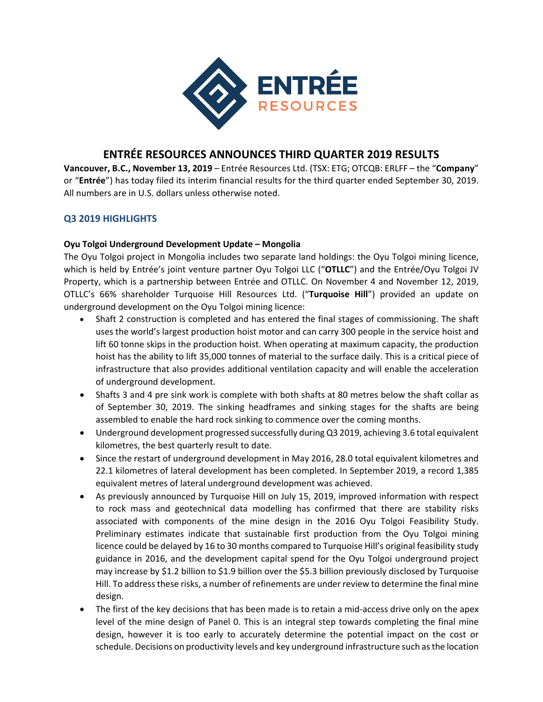

# **ENTRÉE RESOURCES ANNOUNCES THIRD QUARTER 2019 RESULTS**

**Vancouver, B.C., November 13, 2019** – Entrée Resources Ltd. (TSX: ETG; OTCQB: ERLFF – the "**Company**" or "**Entrée**") has today filed its interim financial results for the third quarter ended September 30, 2019. All numbers are in U.S. dollars unless otherwise noted.

## **Q3 2019 HIGHLIGHTS**

### **Oyu Tolgoi Underground Development Update – Mongolia**

The Oyu Tolgoi project in Mongolia includes two separate land holdings: the Oyu Tolgoi mining licence, which is held by Entrée's joint venture partner Oyu Tolgoi LLC ("**OTLLC**") and the Entrée/Oyu Tolgoi JV Property, which is a partnership between Entrée and OTLLC. On November 4 and November 12, 2019, OTLLC's 66% shareholder Turquoise Hill Resources Ltd. ("**Turquoise Hill**") provided an update on underground development on the Oyu Tolgoi mining licence:

- Shaft 2 construction is completed and has entered the final stages of commissioning. The shaft uses the world's largest production hoist motor and can carry 300 people in the service hoist and lift 60 tonne skips in the production hoist. When operating at maximum capacity, the production hoist has the ability to lift 35,000 tonnes of material to the surface daily. This is a critical piece of infrastructure that also provides additional ventilation capacity and will enable the acceleration of underground development.
- Shafts 3 and 4 pre sink work is complete with both shafts at 80 metres below the shaft collar as of September 30, 2019. The sinking headframes and sinking stages for the shafts are being assembled to enable the hard rock sinking to commence over the coming months.
- Underground development progressed successfully during Q3 2019, achieving 3.6 total equivalent kilometres, the best quarterly result to date.
- Since the restart of underground development in May 2016, 28.0 total equivalent kilometres and 22.1 kilometres of lateral development has been completed. In September 2019, a record 1,385 equivalent metres of lateral underground development was achieved.
- As previously announced by Turquoise Hill on July 15, 2019, improved information with respect to rock mass and geotechnical data modelling has confirmed that there are stability risks associated with components of the mine design in the 2016 Oyu Tolgoi Feasibility Study. Preliminary estimates indicate that sustainable first production from the Oyu Tolgoi mining licence could be delayed by 16 to 30 months compared to Turquoise Hill's original feasibility study guidance in 2016, and the development capital spend for the Oyu Tolgoi underground project may increase by \$1.2 billion to \$1.9 billion over the \$5.3 billion previously disclosed by Turquoise Hill. To addressthese risks, a number of refinements are under review to determine the final mine design.
- The first of the key decisions that has been made is to retain a mid-access drive only on the apex level of the mine design of Panel 0. This is an integral step towards completing the final mine design, however it is too early to accurately determine the potential impact on the cost or schedule. Decisions on productivity levels and key underground infrastructure such asthe location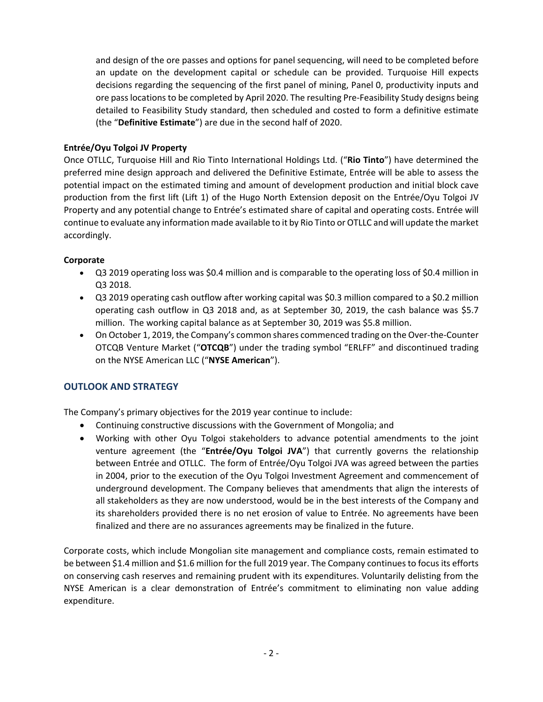and design of the ore passes and options for panel sequencing, will need to be completed before an update on the development capital or schedule can be provided. Turquoise Hill expects decisions regarding the sequencing of the first panel of mining, Panel 0, productivity inputs and ore passlocationsto be completed by April 2020. The resulting Pre‐Feasibility Study designs being detailed to Feasibility Study standard, then scheduled and costed to form a definitive estimate (the "**Definitive Estimate**") are due in the second half of 2020.

## **Entrée/Oyu Tolgoi JV Property**

Once OTLLC, Turquoise Hill and Rio Tinto International Holdings Ltd. ("**Rio Tinto**") have determined the preferred mine design approach and delivered the Definitive Estimate, Entrée will be able to assess the potential impact on the estimated timing and amount of development production and initial block cave production from the first lift (Lift 1) of the Hugo North Extension deposit on the Entrée/Oyu Tolgoi JV Property and any potential change to Entrée's estimated share of capital and operating costs. Entrée will continue to evaluate any information made available to it by Rio Tinto or OTLLC and will update the market accordingly.

### **Corporate**

- Q3 2019 operating loss was \$0.4 million and is comparable to the operating loss of \$0.4 million in Q3 2018.
- Q3 2019 operating cash outflow after working capital was \$0.3 million compared to a \$0.2 million operating cash outflow in Q3 2018 and, as at September 30, 2019, the cash balance was \$5.7 million. The working capital balance as at September 30, 2019 was \$5.8 million.
- On October 1, 2019, the Company's common shares commenced trading on the Over‐the‐Counter OTCQB Venture Market ("**OTCQB**") under the trading symbol "ERLFF" and discontinued trading on the NYSE American LLC ("**NYSE American**").

## **OUTLOOK AND STRATEGY**

The Company's primary objectives for the 2019 year continue to include:

- Continuing constructive discussions with the Government of Mongolia; and
- Working with other Oyu Tolgoi stakeholders to advance potential amendments to the joint venture agreement (the "**Entrée/Oyu Tolgoi JVA**") that currently governs the relationship between Entrée and OTLLC. The form of Entrée/Oyu Tolgoi JVA was agreed between the parties in 2004, prior to the execution of the Oyu Tolgoi Investment Agreement and commencement of underground development. The Company believes that amendments that align the interests of all stakeholders as they are now understood, would be in the best interests of the Company and its shareholders provided there is no net erosion of value to Entrée. No agreements have been finalized and there are no assurances agreements may be finalized in the future.

Corporate costs, which include Mongolian site management and compliance costs, remain estimated to be between \$1.4 million and \$1.6 million for the full 2019 year. The Company continuesto focusits efforts on conserving cash reserves and remaining prudent with its expenditures. Voluntarily delisting from the NYSE American is a clear demonstration of Entrée's commitment to eliminating non value adding expenditure.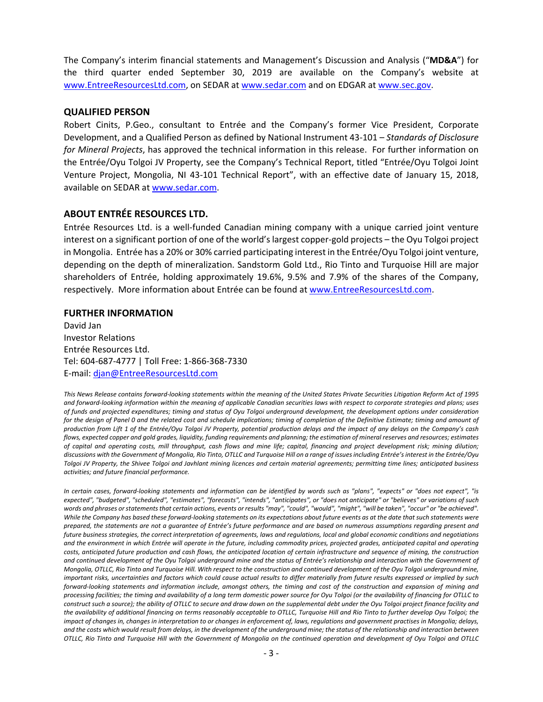The Company's interim financial statements and Management's Discussion and Analysis ("**MD&A**") for the third quarter ended September 30, 2019 are available on the Company's website at www.EntreeResourcesLtd.com, on SEDAR at www.sedar.com and on EDGAR at www.sec.gov.

#### **QUALIFIED PERSON**

Robert Cinits, P.Geo., consultant to Entrée and the Company's former Vice President, Corporate Development, and a Qualified Person as defined by National Instrument 43‐101 – *Standards of Disclosure for Mineral Projects*, has approved the technical information in this release.For further information on the Entrée/Oyu Tolgoi JV Property, see the Company's Technical Report, titled "Entrée/Oyu Tolgoi Joint Venture Project, Mongolia, NI 43‐101 Technical Report", with an effective date of January 15, 2018, available on SEDAR at www.sedar.com.

## **ABOUT ENTRÉE RESOURCES LTD.**

Entrée Resources Ltd. is a well‐funded Canadian mining company with a unique carried joint venture interest on a significant portion of one of the world'slargest copper‐gold projects – the Oyu Tolgoi project in Mongolia. Entrée has a 20% or 30% carried participating interest in the Entrée/Oyu Tolgoi joint venture, depending on the depth of mineralization. Sandstorm Gold Ltd., Rio Tinto and Turquoise Hill are major shareholders of Entrée, holding approximately 19.6%, 9.5% and 7.9% of the shares of the Company, respectively. More information about Entrée can be found at www.EntreeResourcesLtd.com.

#### **FURTHER INFORMATION**

David Jan Investor Relations Entrée Resources Ltd. Tel: 604‐687‐4777 | Toll Free: 1‐866‐368‐7330 E‐mail: djan@EntreeResourcesLtd.com

This News Release contains forward-looking statements within the meaning of the United States Private Securities Litigation Reform Act of 1995 and forward-looking information within the meaning of applicable Canadian securities laws with respect to corporate strategies and plans; uses of funds and projected expenditures; timing and status of Oyu Tolgoi underground development, the development options under consideration for the design of Panel 0 and the related cost and schedule implications; timing of completion of the Definitive Estimate; timing and amount of production from Lift 1 of the Entrée/Oyu Tolgoi JV Property, potential production delays and the impact of any delays on the Company's cash flows, expected copper and gold grades, liquidity, funding requirements and planning; the estimation of mineral reserves and resources; estimates of capital and operating costs, mill throughput, cash flows and mine life; capital, financing and project development risk; mining dilution; discussions with the Government of Mongolia, Rio Tinto, OTLLC and Turquoise Hill on a range of issues including Entrée's interest in the Entrée/Oyu Tolgoi JV Property, the Shivee Tolgoi and Javhlant mining licences and certain material agreements; permitting time lines; anticipated business *activities; and future financial performance.*

In certain cases, forward-looking statements and information can be identified by words such as "plans", "expects" or "does not expect", "is expected", "budgeted", "scheduled", "estimates", "forecasts", "intends", "anticipates", or "does not anticipate" or "believes" or variations of such words and phrases or statements that certain actions, events or results "may", "could", "would", "might", "will be taken", "occur" or "be achieved". While the Company has based these forward-looking statements on its expectations about future events as at the date that such statements were prepared, the statements are not a guarantee of Entrée's future performance and are based on numerous assumptions regarding present and future business strategies, the correct interpretation of agreements, laws and regulations, local and global economic conditions and negotiations and the environment in which Entrée will operate in the future, including commodity prices, projected grades, anticipated capital and operating costs, anticipated future production and cash flows, the anticipated location of certain infrastructure and sequence of mining, the construction and continued development of the Oyu Tolgoi underground mine and the status of Entrée's relationship and interaction with the Government of Mongolia, OTLLC, Rio Tinto and Turquoise Hill. With respect to the construction and continued development of the Oyu Tolgoi underground mine, important risks, uncertainties and factors which could cause actual results to differ materially from future results expressed or implied by such forward-looking statements and information include, amongst others, the timing and cost of the construction and expansion of mining and processing facilities; the timing and availability of a long term domestic power source for Oyu Tolgoi (or the availability of financing for OTLLC to construct such a source); the ability of OTLLC to secure and draw down on the supplemental debt under the Oyu Tolgoi project finance facility and the availability of additional financing on terms reasonably acceptable to OTLLC, Turquoise Hill and Rio Tinto to further develop Oyu Tolgoi; the impact of changes in, changes in interpretation to or changes in enforcement of, laws, regulations and government practises in Mongolia; delays, and the costs which would result from delays, in the development of the underground mine; the status of the relationship and interaction between OTLLC, Rio Tinto and Turquoise Hill with the Government of Mongolia on the continued operation and development of Oyu Tolgoi and OTLLC